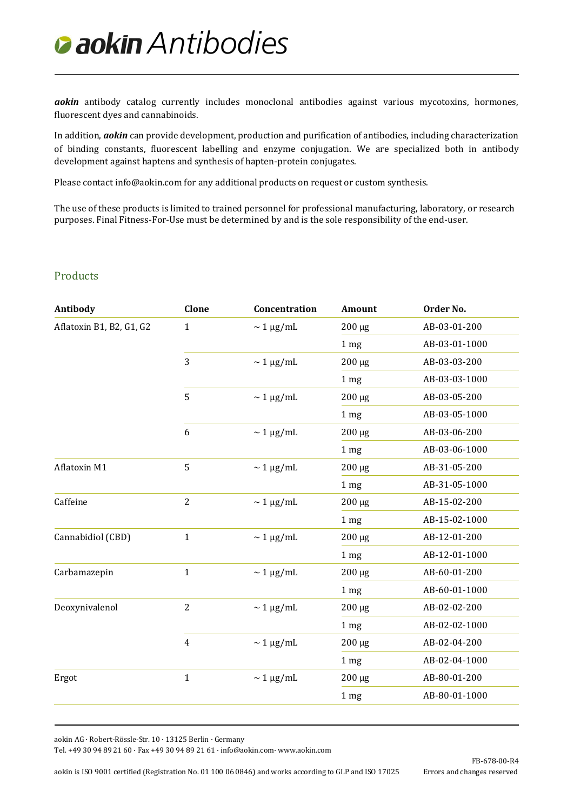## *Antibodies*

*aokin* antibody catalog currently includes monoclonal antibodies against various mycotoxins, hormones, fluorescent dyes and cannabinoids.

In addition, *aokin* can provide development, production and purification of antibodies, including characterization of binding constants, fluorescent labelling and enzyme conjugation. We are specialized both in antibody development against haptens and synthesis of hapten-protein conjugates.

Please contact [info@aokin.com](mailto:info@aokin.com) for any additional products on request or custom synthesis.

The use of these products is limited to trained personnel for professional manufacturing, laboratory, or research purposes. Final Fitness-For-Use must be determined by and is the sole responsibility of the end-user.

## **Products**

| Antibody                 | Clone          | Concentration             | <b>Amount</b>   | Order No.     |
|--------------------------|----------------|---------------------------|-----------------|---------------|
| Aflatoxin B1, B2, G1, G2 | $\mathbf{1}$   | $\sim 1 \mu g/mL$         | $200 \mu g$     | AB-03-01-200  |
|                          |                |                           | 1 <sub>mg</sub> | AB-03-01-1000 |
|                          | 3              | $\sim 1 \mu g/mL$         | $200 \mu g$     | AB-03-03-200  |
|                          |                |                           | 1 <sub>mg</sub> | AB-03-03-1000 |
|                          | 5              | $\sim 1 \mu g/mL$         | $200 \mu g$     | AB-03-05-200  |
|                          |                |                           | 1 <sub>mg</sub> | AB-03-05-1000 |
|                          | 6              | $\sim 1 \mu g/mL$         | $200 \mu g$     | AB-03-06-200  |
|                          |                |                           | 1 <sub>mg</sub> | AB-03-06-1000 |
| Aflatoxin M1             | 5              | $\sim 1 \mu g/mL$         | $200 \mu g$     | AB-31-05-200  |
|                          |                |                           | 1 <sub>mg</sub> | AB-31-05-1000 |
| Caffeine                 | $\overline{2}$ | $\sim 1 \mu g/mL$         | $200 \mu g$     | AB-15-02-200  |
|                          |                |                           | 1 <sub>mg</sub> | AB-15-02-1000 |
| Cannabidiol (CBD)        | $\mathbf 1$    | $\sim 1 \ \mu\text{g/mL}$ | $200 \mu g$     | AB-12-01-200  |
|                          |                |                           | 1 <sub>mg</sub> | AB-12-01-1000 |
| Carbamazepin             | $\mathbf 1$    | $\sim 1 \mu g/mL$         | $200 \mu g$     | AB-60-01-200  |
|                          |                |                           | 1 <sub>mg</sub> | AB-60-01-1000 |
| Deoxynivalenol           | $\overline{2}$ | $\sim 1 \mu g/mL$         | $200 \mu g$     | AB-02-02-200  |
|                          |                |                           | 1 <sub>mg</sub> | AB-02-02-1000 |
|                          | $\overline{4}$ | $\sim 1 \mu g/mL$         | $200 \mu g$     | AB-02-04-200  |
|                          |                |                           | 1 <sub>mg</sub> | AB-02-04-1000 |
| Ergot                    | $\mathbf 1$    | $\sim 1 \mu g/mL$         | $200 \ \mu g$   | AB-80-01-200  |
|                          |                |                           | 1 <sub>mg</sub> | AB-80-01-1000 |
|                          |                |                           |                 |               |

aokin AG · Robert-Rössle-Str. 10 · 13125 Berlin · Germany

Tel. +49 30 94 89 21 60 · Fax +49 30 94 89 21 61 [· info@aokin.com·](mailto:info@aokin.com) [www.aokin.com](http://www.aokin.com/)